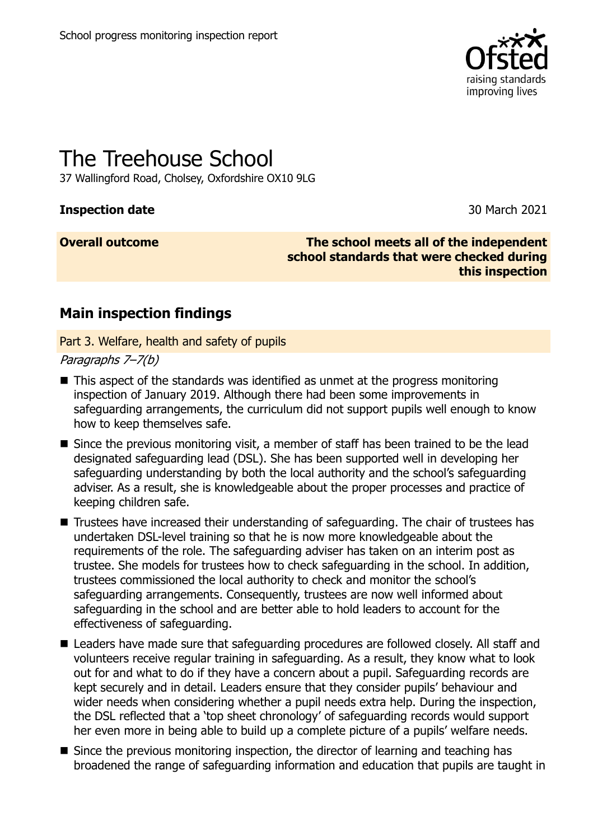

# The Treehouse School

37 Wallingford Road, Cholsey, Oxfordshire OX10 9LG

#### **Inspection date** 30 March 2021

**Overall outcome The school meets all of the independent school standards that were checked during this inspection**

## **Main inspection findings**

Part 3. Welfare, health and safety of pupils

Paragraphs 7–7(b)

- This aspect of the standards was identified as unmet at the progress monitoring inspection of January 2019. Although there had been some improvements in safeguarding arrangements, the curriculum did not support pupils well enough to know how to keep themselves safe.
- Since the previous monitoring visit, a member of staff has been trained to be the lead designated safeguarding lead (DSL). She has been supported well in developing her safeguarding understanding by both the local authority and the school's safeguarding adviser. As a result, she is knowledgeable about the proper processes and practice of keeping children safe.
- Trustees have increased their understanding of safeguarding. The chair of trustees has undertaken DSL-level training so that he is now more knowledgeable about the requirements of the role. The safeguarding adviser has taken on an interim post as trustee. She models for trustees how to check safeguarding in the school. In addition, trustees commissioned the local authority to check and monitor the school's safeguarding arrangements. Consequently, trustees are now well informed about safeguarding in the school and are better able to hold leaders to account for the effectiveness of safeguarding.
- Leaders have made sure that safeguarding procedures are followed closely. All staff and volunteers receive regular training in safeguarding. As a result, they know what to look out for and what to do if they have a concern about a pupil. Safeguarding records are kept securely and in detail. Leaders ensure that they consider pupils' behaviour and wider needs when considering whether a pupil needs extra help. During the inspection, the DSL reflected that a 'top sheet chronology' of safeguarding records would support her even more in being able to build up a complete picture of a pupils' welfare needs.
- Since the previous monitoring inspection, the director of learning and teaching has broadened the range of safeguarding information and education that pupils are taught in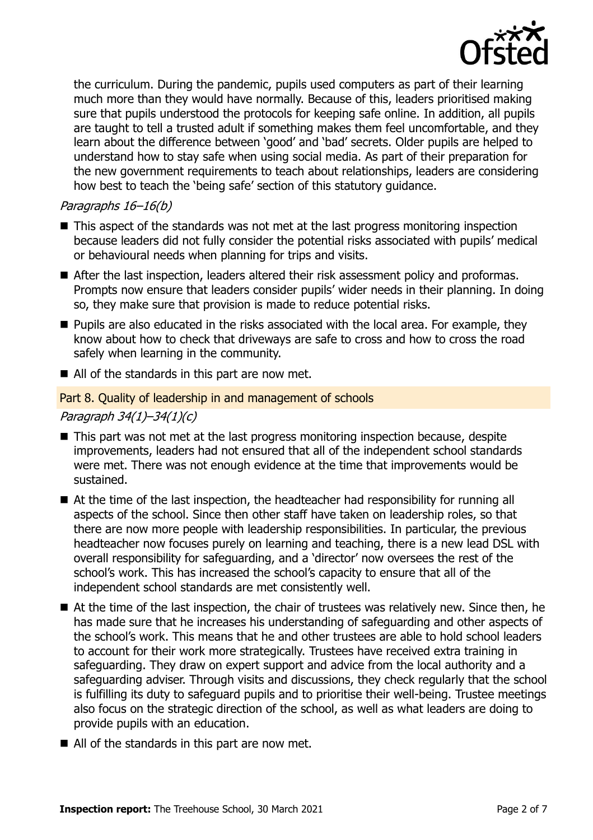

the curriculum. During the pandemic, pupils used computers as part of their learning much more than they would have normally. Because of this, leaders prioritised making sure that pupils understood the protocols for keeping safe online. In addition, all pupils are taught to tell a trusted adult if something makes them feel uncomfortable, and they learn about the difference between 'good' and 'bad' secrets. Older pupils are helped to understand how to stay safe when using social media. As part of their preparation for the new government requirements to teach about relationships, leaders are considering how best to teach the 'being safe' section of this statutory guidance.

#### Paragraphs 16–16(b)

- This aspect of the standards was not met at the last progress monitoring inspection because leaders did not fully consider the potential risks associated with pupils' medical or behavioural needs when planning for trips and visits.
- After the last inspection, leaders altered their risk assessment policy and proformas. Prompts now ensure that leaders consider pupils' wider needs in their planning. In doing so, they make sure that provision is made to reduce potential risks.
- Pupils are also educated in the risks associated with the local area. For example, they know about how to check that driveways are safe to cross and how to cross the road safely when learning in the community.
- All of the standards in this part are now met.

#### Part 8. Quality of leadership in and management of schools

#### Paragraph 34(1)–34(1)(c)

- This part was not met at the last progress monitoring inspection because, despite improvements, leaders had not ensured that all of the independent school standards were met. There was not enough evidence at the time that improvements would be sustained.
- At the time of the last inspection, the headteacher had responsibility for running all aspects of the school. Since then other staff have taken on leadership roles, so that there are now more people with leadership responsibilities. In particular, the previous headteacher now focuses purely on learning and teaching, there is a new lead DSL with overall responsibility for safeguarding, and a 'director' now oversees the rest of the school's work. This has increased the school's capacity to ensure that all of the independent school standards are met consistently well.
- At the time of the last inspection, the chair of trustees was relatively new. Since then, he has made sure that he increases his understanding of safeguarding and other aspects of the school's work. This means that he and other trustees are able to hold school leaders to account for their work more strategically. Trustees have received extra training in safeguarding. They draw on expert support and advice from the local authority and a safeguarding adviser. Through visits and discussions, they check regularly that the school is fulfilling its duty to safeguard pupils and to prioritise their well-being. Trustee meetings also focus on the strategic direction of the school, as well as what leaders are doing to provide pupils with an education.
- All of the standards in this part are now met.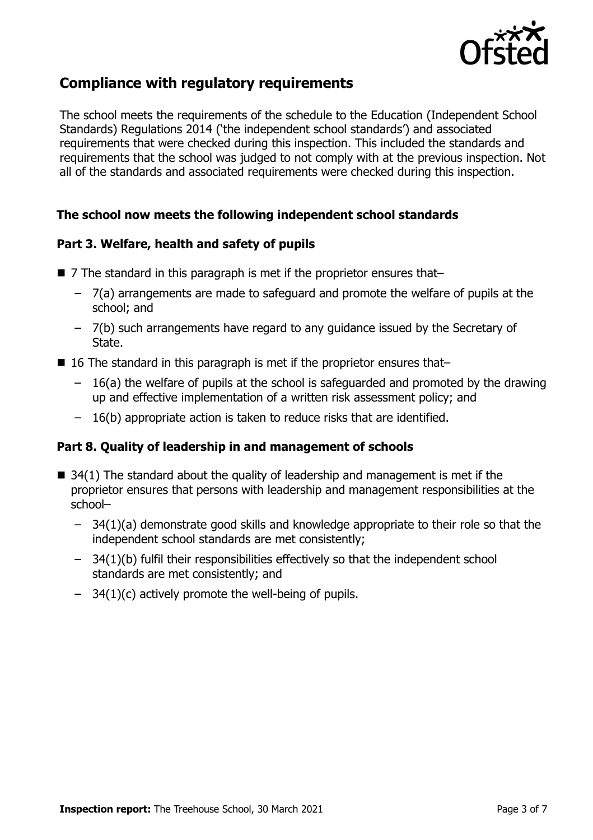

## **Compliance with regulatory requirements**

The school meets the requirements of the schedule to the Education (Independent School Standards) Regulations 2014 ('the independent school standards') and associated requirements that were checked during this inspection. This included the standards and requirements that the school was judged to not comply with at the previous inspection. Not all of the standards and associated requirements were checked during this inspection.

#### **The school now meets the following independent school standards**

#### **Part 3. Welfare, health and safety of pupils**

- 7 The standard in this paragraph is met if the proprietor ensures that–
	- 7(a) arrangements are made to safeguard and promote the welfare of pupils at the school; and
	- 7(b) such arrangements have regard to any guidance issued by the Secretary of State.
- 16 The standard in this paragraph is met if the proprietor ensures that–
	- 16(a) the welfare of pupils at the school is safeguarded and promoted by the drawing up and effective implementation of a written risk assessment policy; and
	- 16(b) appropriate action is taken to reduce risks that are identified.

#### **Part 8. Quality of leadership in and management of schools**

- $\blacksquare$  34(1) The standard about the quality of leadership and management is met if the proprietor ensures that persons with leadership and management responsibilities at the school–
	- 34(1)(a) demonstrate good skills and knowledge appropriate to their role so that the independent school standards are met consistently;
	- 34(1)(b) fulfil their responsibilities effectively so that the independent school standards are met consistently; and
	- $-$  34(1)(c) actively promote the well-being of pupils.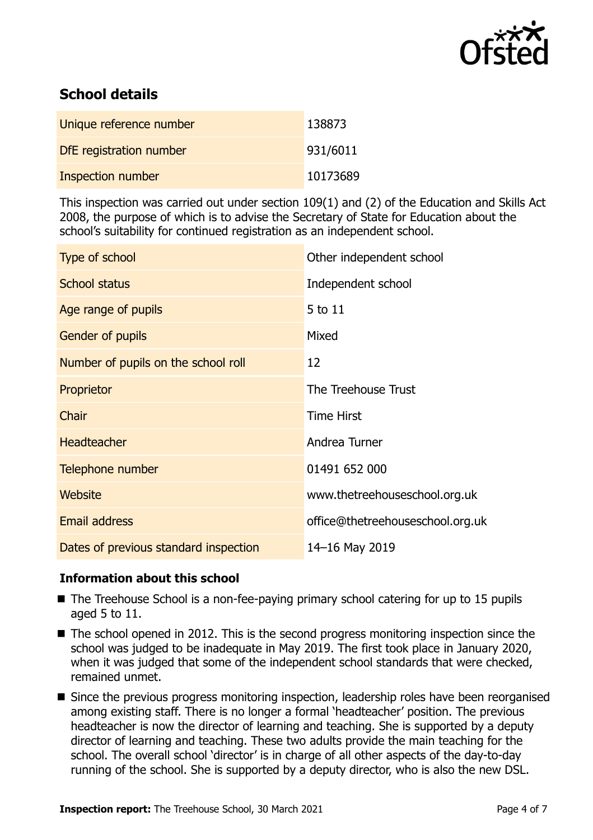

## **School details**

| Unique reference number  | 138873   |
|--------------------------|----------|
| DfE registration number  | 931/6011 |
| <b>Inspection number</b> | 10173689 |

This inspection was carried out under section 109(1) and (2) of the Education and Skills Act 2008, the purpose of which is to advise the Secretary of State for Education about the school's suitability for continued registration as an independent school.

| Type of school                        | Other independent school         |
|---------------------------------------|----------------------------------|
| <b>School status</b>                  | Independent school               |
| Age range of pupils                   | 5 to 11                          |
| Gender of pupils                      | Mixed                            |
| Number of pupils on the school roll   | 12                               |
| Proprietor                            | The Treehouse Trust              |
| Chair                                 | <b>Time Hirst</b>                |
| <b>Headteacher</b>                    | Andrea Turner                    |
| Telephone number                      | 01491 652 000                    |
| <b>Website</b>                        | www.thetreehouseschool.org.uk    |
| <b>Email address</b>                  | office@thetreehouseschool.org.uk |
| Dates of previous standard inspection | 14-16 May 2019                   |

### **Information about this school**

- The Treehouse School is a non-fee-paying primary school catering for up to 15 pupils aged 5 to 11.
- The school opened in 2012. This is the second progress monitoring inspection since the school was judged to be inadequate in May 2019. The first took place in January 2020, when it was judged that some of the independent school standards that were checked, remained unmet.
- Since the previous progress monitoring inspection, leadership roles have been reorganised among existing staff. There is no longer a formal 'headteacher' position. The previous headteacher is now the director of learning and teaching. She is supported by a deputy director of learning and teaching. These two adults provide the main teaching for the school. The overall school 'director' is in charge of all other aspects of the day-to-day running of the school. She is supported by a deputy director, who is also the new DSL.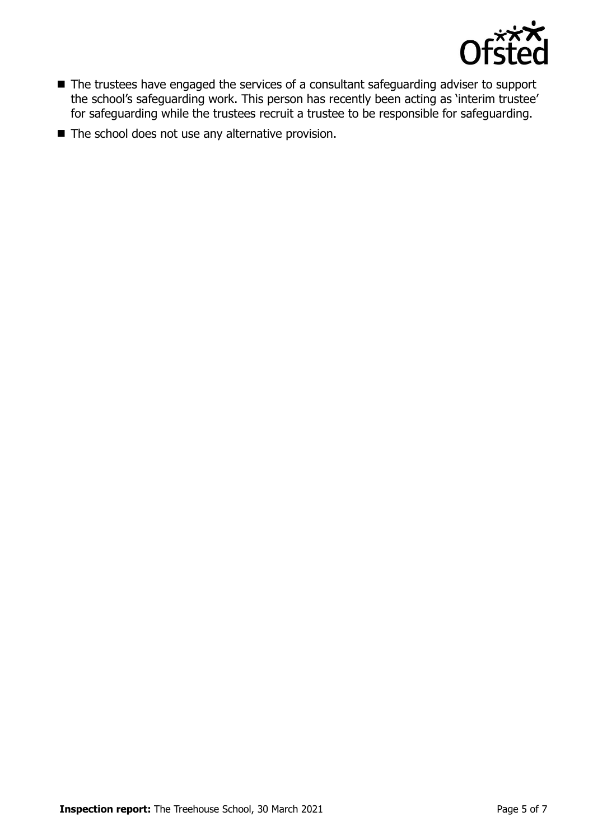

- The trustees have engaged the services of a consultant safeguarding adviser to support the school's safeguarding work. This person has recently been acting as 'interim trustee' for safeguarding while the trustees recruit a trustee to be responsible for safeguarding.
- The school does not use any alternative provision.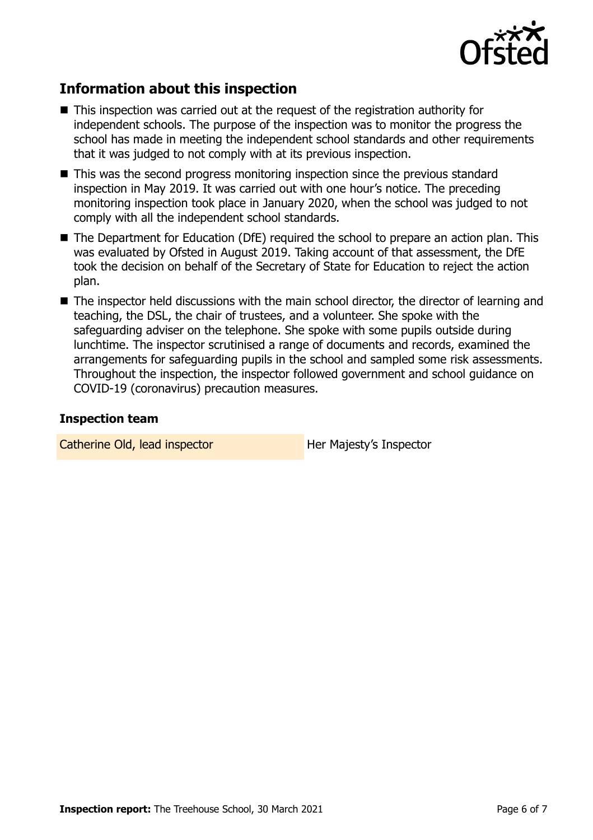

## **Information about this inspection**

- This inspection was carried out at the request of the registration authority for independent schools. The purpose of the inspection was to monitor the progress the school has made in meeting the independent school standards and other requirements that it was judged to not comply with at its previous inspection.
- This was the second progress monitoring inspection since the previous standard inspection in May 2019. It was carried out with one hour's notice. The preceding monitoring inspection took place in January 2020, when the school was judged to not comply with all the independent school standards.
- The Department for Education (DfE) required the school to prepare an action plan. This was evaluated by Ofsted in August 2019. Taking account of that assessment, the DfE took the decision on behalf of the Secretary of State for Education to reject the action plan.
- The inspector held discussions with the main school director, the director of learning and teaching, the DSL, the chair of trustees, and a volunteer. She spoke with the safeguarding adviser on the telephone. She spoke with some pupils outside during lunchtime. The inspector scrutinised a range of documents and records, examined the arrangements for safeguarding pupils in the school and sampled some risk assessments. Throughout the inspection, the inspector followed government and school guidance on COVID-19 (coronavirus) precaution measures.

#### **Inspection team**

Catherine Old, lead inspector **Her Majesty's Inspector**